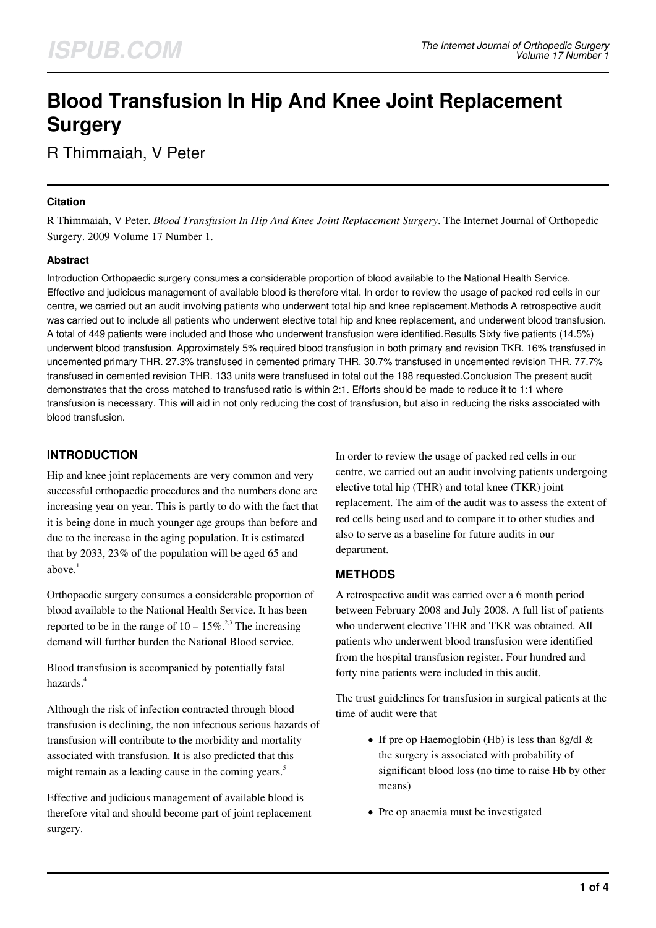# **Blood Transfusion In Hip And Knee Joint Replacement Surgery**

R Thimmaiah, V Peter

#### **Citation**

R Thimmaiah, V Peter. *Blood Transfusion In Hip And Knee Joint Replacement Surgery*. The Internet Journal of Orthopedic Surgery. 2009 Volume 17 Number 1.

## **Abstract**

Introduction Orthopaedic surgery consumes a considerable proportion of blood available to the National Health Service. Effective and judicious management of available blood is therefore vital. In order to review the usage of packed red cells in our centre, we carried out an audit involving patients who underwent total hip and knee replacement.Methods A retrospective audit was carried out to include all patients who underwent elective total hip and knee replacement, and underwent blood transfusion. A total of 449 patients were included and those who underwent transfusion were identified.Results Sixty five patients (14.5%) underwent blood transfusion. Approximately 5% required blood transfusion in both primary and revision TKR. 16% transfused in uncemented primary THR. 27.3% transfused in cemented primary THR. 30.7% transfused in uncemented revision THR. 77.7% transfused in cemented revision THR. 133 units were transfused in total out the 198 requested.Conclusion The present audit demonstrates that the cross matched to transfused ratio is within 2:1. Efforts should be made to reduce it to 1:1 where transfusion is necessary. This will aid in not only reducing the cost of transfusion, but also in reducing the risks associated with blood transfusion.

# **INTRODUCTION**

Hip and knee joint replacements are very common and very successful orthopaedic procedures and the numbers done are increasing year on year. This is partly to do with the fact that it is being done in much younger age groups than before and due to the increase in the aging population. It is estimated that by 2033, 23% of the population will be aged 65 and above. $1$ 

Orthopaedic surgery consumes a considerable proportion of blood available to the National Health Service. It has been reported to be in the range of  $10 - 15\%$ <sup>2,3</sup>. The increasing demand will further burden the National Blood service.

Blood transfusion is accompanied by potentially fatal hazards.<sup>4</sup>

Although the risk of infection contracted through blood transfusion is declining, the non infectious serious hazards of transfusion will contribute to the morbidity and mortality associated with transfusion. It is also predicted that this might remain as a leading cause in the coming years.<sup>5</sup>

Effective and judicious management of available blood is therefore vital and should become part of joint replacement surgery.

In order to review the usage of packed red cells in our centre, we carried out an audit involving patients undergoing elective total hip (THR) and total knee (TKR) joint replacement. The aim of the audit was to assess the extent of red cells being used and to compare it to other studies and also to serve as a baseline for future audits in our department.

## **METHODS**

A retrospective audit was carried over a 6 month period between February 2008 and July 2008. A full list of patients who underwent elective THR and TKR was obtained. All patients who underwent blood transfusion were identified from the hospital transfusion register. Four hundred and forty nine patients were included in this audit.

The trust guidelines for transfusion in surgical patients at the time of audit were that

- If pre op Haemoglobin (Hb) is less than 8g/dl  $&$ the surgery is associated with probability of significant blood loss (no time to raise Hb by other means)
- Pre op anaemia must be investigated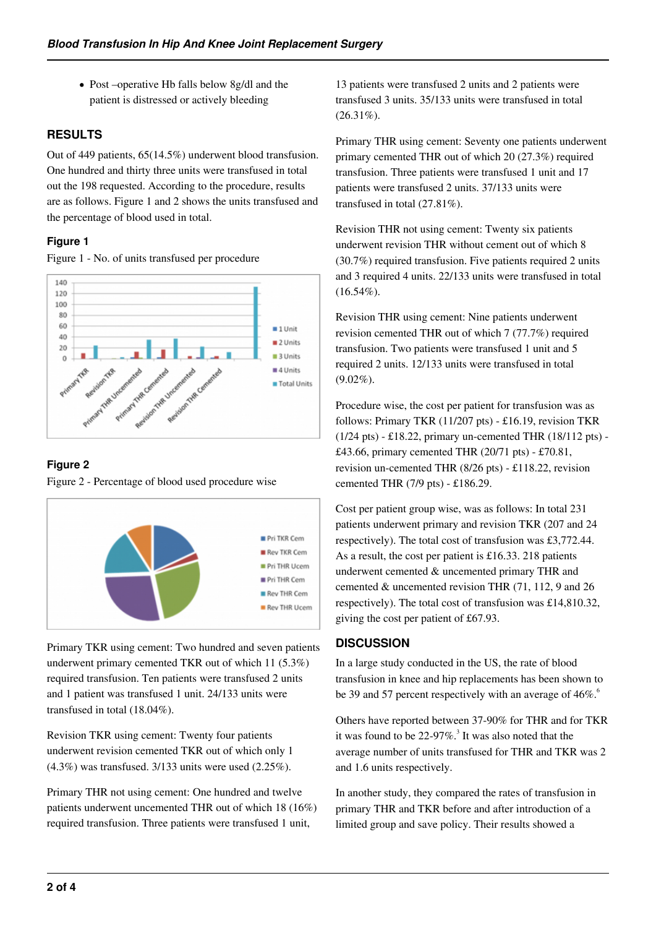Post –operative Hb falls below 8g/dl and the patient is distressed or actively bleeding

# **RESULTS**

Out of 449 patients, 65(14.5%) underwent blood transfusion. One hundred and thirty three units were transfused in total out the 198 requested. According to the procedure, results are as follows. Figure 1 and 2 shows the units transfused and the percentage of blood used in total.

## **Figure 1**

Figure 1 - No. of units transfused per procedure



# **Figure 2**

Figure 2 - Percentage of blood used procedure wise



Primary TKR using cement: Two hundred and seven patients underwent primary cemented TKR out of which 11 (5.3%) required transfusion. Ten patients were transfused 2 units and 1 patient was transfused 1 unit. 24/133 units were transfused in total (18.04%).

Revision TKR using cement: Twenty four patients underwent revision cemented TKR out of which only 1 (4.3%) was transfused. 3/133 units were used (2.25%).

Primary THR not using cement: One hundred and twelve patients underwent uncemented THR out of which 18 (16%) required transfusion. Three patients were transfused 1 unit,

13 patients were transfused 2 units and 2 patients were transfused 3 units. 35/133 units were transfused in total  $(26.31\%)$ .

Primary THR using cement: Seventy one patients underwent primary cemented THR out of which 20 (27.3%) required transfusion. Three patients were transfused 1 unit and 17 patients were transfused 2 units. 37/133 units were transfused in total (27.81%).

Revision THR not using cement: Twenty six patients underwent revision THR without cement out of which 8 (30.7%) required transfusion. Five patients required 2 units and 3 required 4 units. 22/133 units were transfused in total  $(16.54\%).$ 

Revision THR using cement: Nine patients underwent revision cemented THR out of which 7 (77.7%) required transfusion. Two patients were transfused 1 unit and 5 required 2 units. 12/133 units were transfused in total  $(9.02\%)$ .

Procedure wise, the cost per patient for transfusion was as follows: Primary TKR (11/207 pts) - £16.19, revision TKR (1/24 pts) - £18.22, primary un-cemented THR (18/112 pts) - £43.66, primary cemented THR (20/71 pts) - £70.81, revision un-cemented THR (8/26 pts) - £118.22, revision cemented THR (7/9 pts) - £186.29.

Cost per patient group wise, was as follows: In total 231 patients underwent primary and revision TKR (207 and 24 respectively). The total cost of transfusion was £3,772.44. As a result, the cost per patient is £16.33. 218 patients underwent cemented & uncemented primary THR and cemented & uncemented revision THR (71, 112, 9 and 26 respectively). The total cost of transfusion was £14,810.32, giving the cost per patient of £67.93.

## **DISCUSSION**

In a large study conducted in the US, the rate of blood transfusion in knee and hip replacements has been shown to be 39 and 57 percent respectively with an average of  $46\%$ .<sup>6</sup>

Others have reported between 37-90% for THR and for TKR it was found to be 22-97%.<sup>3</sup> It was also noted that the average number of units transfused for THR and TKR was 2 and 1.6 units respectively.

In another study, they compared the rates of transfusion in primary THR and TKR before and after introduction of a limited group and save policy. Their results showed a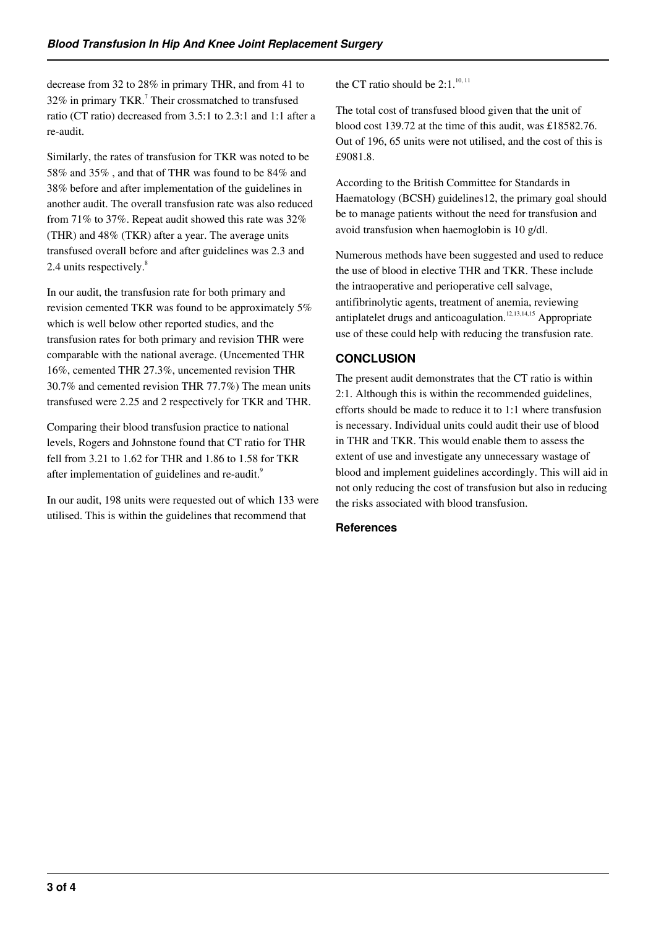decrease from 32 to 28% in primary THR, and from 41 to 32% in primary TKR.<sup>7</sup> Their crossmatched to transfused ratio (CT ratio) decreased from 3.5:1 to 2.3:1 and 1:1 after a re-audit.

Similarly, the rates of transfusion for TKR was noted to be 58% and 35% , and that of THR was found to be 84% and 38% before and after implementation of the guidelines in another audit. The overall transfusion rate was also reduced from 71% to 37%. Repeat audit showed this rate was 32% (THR) and 48% (TKR) after a year. The average units transfused overall before and after guidelines was 2.3 and 2.4 units respectively.<sup>8</sup>

In our audit, the transfusion rate for both primary and revision cemented TKR was found to be approximately 5% which is well below other reported studies, and the transfusion rates for both primary and revision THR were comparable with the national average. (Uncemented THR 16%, cemented THR 27.3%, uncemented revision THR 30.7% and cemented revision THR 77.7%) The mean units transfused were 2.25 and 2 respectively for TKR and THR.

Comparing their blood transfusion practice to national levels, Rogers and Johnstone found that CT ratio for THR fell from 3.21 to 1.62 for THR and 1.86 to 1.58 for TKR after implementation of guidelines and re-audit.<sup>9</sup>

In our audit, 198 units were requested out of which 133 were utilised. This is within the guidelines that recommend that

the CT ratio should be  $2:1.^{10,11}$ 

The total cost of transfused blood given that the unit of blood cost 139.72 at the time of this audit, was £18582.76. Out of 196, 65 units were not utilised, and the cost of this is £9081.8.

According to the British Committee for Standards in Haematology (BCSH) guidelines12, the primary goal should be to manage patients without the need for transfusion and avoid transfusion when haemoglobin is 10 g/dl.

Numerous methods have been suggested and used to reduce the use of blood in elective THR and TKR. These include the intraoperative and perioperative cell salvage, antifibrinolytic agents, treatment of anemia, reviewing antiplatelet drugs and anticoagulation.<sup>12,13,14,15</sup> Appropriate use of these could help with reducing the transfusion rate.

# **CONCLUSION**

The present audit demonstrates that the CT ratio is within 2:1. Although this is within the recommended guidelines, efforts should be made to reduce it to 1:1 where transfusion is necessary. Individual units could audit their use of blood in THR and TKR. This would enable them to assess the extent of use and investigate any unnecessary wastage of blood and implement guidelines accordingly. This will aid in not only reducing the cost of transfusion but also in reducing the risks associated with blood transfusion.

#### **References**